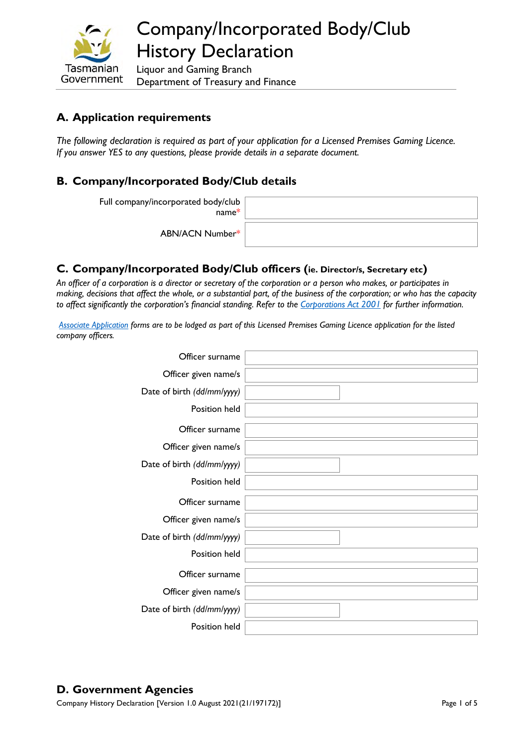

Liquor and Gaming Branch Department of Treasury and Finance

## **A. Application requirements**

*The following declaration is required as part of your application for a Licensed Premises Gaming Licence. If you answer YES to any questions, please provide details in a separate document.* 

### **B. Company/Incorporated Body/Club details**

Full company/incorporated body/club

name\* ABN/ACN Number\*

#### **C. Company/Incorporated Body/Club officers (ie. Director/s, Secretary etc)**

*An officer of a corporation is a director or secretary of the corporation or a person who makes, or participates in making, decisions that affect the whole, or a substantial part, of the business of the corporation; or who has the capacity to affect significantly the corporation's financial standing. Refer to the [Corporations Act 2001](https://www.legislation.gov.au/Details/C2017C00328) for further information.* 

*[Associate Application](https://www.treasury.tas.gov.au/Documents/Associate%20Application.pdf) forms are to be lodged as part of this Licensed Premises Gaming Licence application for the listed company officers.* 

| Officer surname            |  |
|----------------------------|--|
| Officer given name/s       |  |
| Date of birth (dd/mm/yyyy) |  |
| Position held              |  |
| Officer surname            |  |
| Officer given name/s       |  |
| Date of birth (dd/mm/yyyy) |  |
| Position held              |  |
|                            |  |
| Officer surname            |  |
| Officer given name/s       |  |
| Date of birth (dd/mm/yyyy) |  |
| Position held              |  |
| Officer surname            |  |
| Officer given name/s       |  |
| Date of birth (dd/mm/yyyy) |  |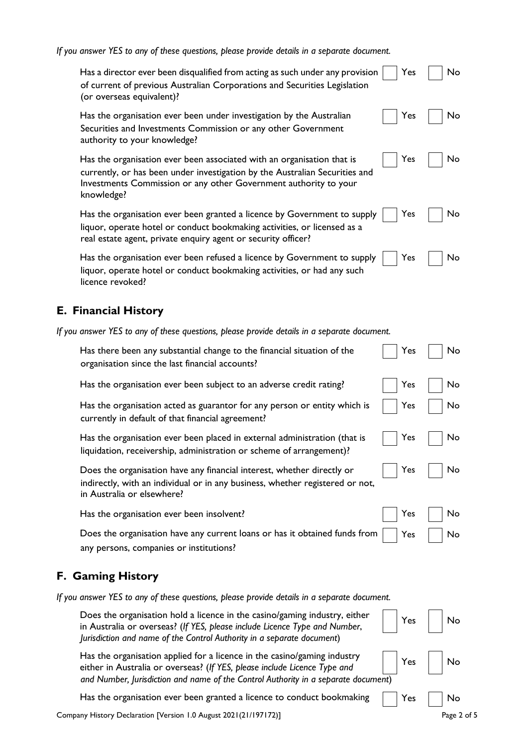*If you answer YES to any of these questions, please provide details in a separate document.*

| if you answer TES to any of these questions, pieuse provide actums in a separate accurrient.                                                                                                                                            |     |    |
|-----------------------------------------------------------------------------------------------------------------------------------------------------------------------------------------------------------------------------------------|-----|----|
| Has a director ever been disqualified from acting as such under any provision<br>of current of previous Australian Corporations and Securities Legislation<br>(or overseas equivalent)?                                                 | Yes | No |
| Has the organisation ever been under investigation by the Australian<br>Securities and Investments Commission or any other Government<br>authority to your knowledge?                                                                   | Yes | No |
| Has the organisation ever been associated with an organisation that is<br>currently, or has been under investigation by the Australian Securities and<br>Investments Commission or any other Government authority to your<br>knowledge? | Yes | No |
| Has the organisation ever been granted a licence by Government to supply<br>liquor, operate hotel or conduct bookmaking activities, or licensed as a<br>real estate agent, private enquiry agent or security officer?                   | Yes | No |
| Has the organisation ever been refused a licence by Government to supply<br>liquor, operate hotel or conduct bookmaking activities, or had any such<br>licence revoked?                                                                 | Yes | No |
| <b>E. Financial History</b>                                                                                                                                                                                                             |     |    |
| If you answer YES to any of these questions, please provide details in a separate document.                                                                                                                                             |     |    |
| Has there been any substantial change to the financial situation of the<br>organisation since the last financial accounts?                                                                                                              | Yes | No |
| Has the organisation ever been subject to an adverse credit rating?                                                                                                                                                                     | Yes | No |
| Has the organisation acted as guarantor for any person or entity which is<br>currently in default of that financial agreement?                                                                                                          | Yes | No |
| Has the organisation ever been placed in external administration (that is<br>liquidation, receivership, administration or scheme of arrangement)?                                                                                       | Yes | No |
| Does the organisation have any financial interest, whether directly or<br>indirectly, with an individual or in any business, whether registered or not,<br>in Australia or elsewhere?                                                   | Yes | No |
| Has the organisation ever been insolvent?                                                                                                                                                                                               | Yes | No |
| Does the organisation have any current loans or has it obtained funds from<br>any persons, companies or institutions?                                                                                                                   | Yes | No |
| F. Gaming History                                                                                                                                                                                                                       |     |    |
| If you answer YES to any of these questions, please provide details in a separate document.                                                                                                                                             |     |    |
| Does the organisation hold a licence in the casino/gaming industry, either<br>in Australia or overseas? (If YES, please include Licence Type and Number,<br>Jurisdiction and name of the Control Authority in a separate document)      | Yes | No |

Has the organisation applied for a licence in the casino/gaming industry Has the organisation applied for a licence in the casino/gaming industry<br>either in Australia or overseas? (*If YES, please include Licence Type and* No *and Number, Jurisdiction and name of the Control Authority in a separate document*)

Has the organisation ever been granted a licence to conduct bookmaking  $\Box$  Yes  $\Box$  No

Company History Declaration [Version 1.0 August 2021(21/197172)] Company History Declaration Page 2 of 5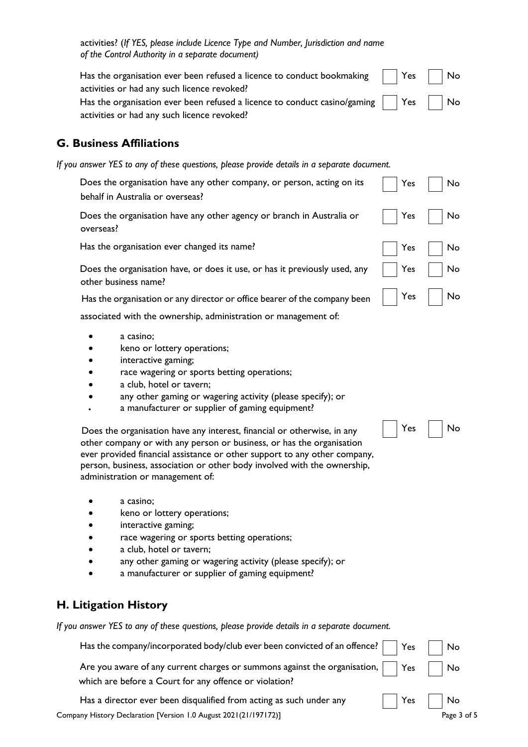activities? (*If YES, please include Licence Type and Number, Jurisdiction and name of the Control Authority in a separate document)*

| Has the organisation ever been refused a licence to conduct bookmaking $\parallel$ Yes $\parallel$ No |  |
|-------------------------------------------------------------------------------------------------------|--|
| activities or had any such licence revoked?                                                           |  |
| Has the organisation ever been refused a licence to conduct casino/gaming $\vert$   Yes     No        |  |
| activities or had any such licence revoked?                                                           |  |

#### **G. Business Affiliations**

| If you answer YES to any of these questions, please provide details in a separate document.                |     |           |
|------------------------------------------------------------------------------------------------------------|-----|-----------|
| Does the organisation have any other company, or person, acting on its<br>behalf in Australia or overseas? | Yes | <b>Nc</b> |
| Does the organisation have any other agency or branch in Australia or<br>overseas?                         | Yes | <b>Nc</b> |
| Has the organisation ever changed its name?                                                                | Yes | <b>Nc</b> |
| Does the organisation have, or does it use, or has it previously used, any<br>other business name?         | Yes | <b>Nc</b> |

Has the organisation or any director or office bearer of the company been  $\parallel$  Yes  $\parallel$  No

associated with the ownership, administration or management of:

- a casino;
- keno or lottery operations;
- interactive gaming;
- race wagering or sports betting operations;
- a club, hotel or tavern;
- any other gaming or wagering activity (please specify); or
- a manufacturer or supplier of gaming equipment?

Does the organisation have any interest, financial or otherwise, in any  $\left|\begin{array}{c|c} \end{array}\right|$  Yes  $\left|\begin{array}{c} \end{array}\right|$  No other company or with any person or business, or has the organisation ever provided financial assistance or other support to any other company, person, business, association or other body involved with the ownership, administration or management of:

- a casino;
- keno or lottery operations;
- interactive gaming;
- race wagering or sports betting operations;
- a club, hotel or tavern;
- any other gaming or wagering activity (please specify); or
- a manufacturer or supplier of gaming equipment?

#### **H. Litigation History**

*If you answer YES to any of these questions, please provide details in a separate document.* 

| Has the company/incorporated body/club ever been convicted of an offence? $\vert \ \vert$ Yes $\vert \ \vert$ No                                                           |  |             |
|----------------------------------------------------------------------------------------------------------------------------------------------------------------------------|--|-------------|
| Are you aware of any current charges or summons against the organisation, $\vert$ $\vert$ Yes $\vert$ $\vert$ No<br>which are before a Court for any offence or violation? |  |             |
| Has a director ever been disqualified from acting as such under any                                                                                                        |  | Yes     No  |
| Company History Declaration [Version 1.0 August 2021(21/197172)]                                                                                                           |  | Page 3 of 5 |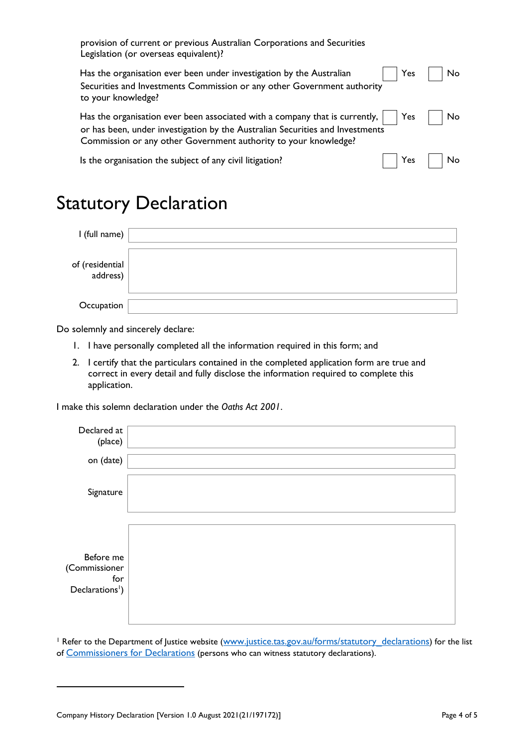| provision of current or previous Australian Corporations and Securities<br>Legislation (or overseas equivalent)?                                                                                                                  |      |    |
|-----------------------------------------------------------------------------------------------------------------------------------------------------------------------------------------------------------------------------------|------|----|
| Has the organisation ever been under investigation by the Australian<br>Securities and Investments Commission or any other Government authority<br>to your knowledge?                                                             | Yes  | No |
| Has the organisation ever been associated with a company that is currently,  <br>or has been, under investigation by the Australian Securities and Investments<br>Commission or any other Government authority to your knowledge? | Yes  | No |
| Is the organisation the subject of any civil litigation?                                                                                                                                                                          | Yes. | No |

# Statutory Declaration

| I (full name)               |  |
|-----------------------------|--|
| of (residential<br>address) |  |
| Occupation                  |  |

Do solemnly and sincerely declare:

- 1. I have personally completed all the information required in this form; and
- 2. I certify that the particulars contained in the completed application form are true and correct in every detail and fully disclose the information required to complete this application.

I make this solemn declaration under the *Oaths Act 2001*.

| Declared at<br>(place)                                           |  |
|------------------------------------------------------------------|--|
| on (date)                                                        |  |
| Signature                                                        |  |
| Before me<br>(Commissioner<br>for<br>Declarations <sup>1</sup> ) |  |

<sup>1</sup> Refer to the Department of Justice website (www.justice.tas.gov.au/forms/statutory\_declarations) for the list of Commissioners for Declarations [\(persons who can witness statutory declarations\).](http://www.justice.tas.gov.au/forms/statutory_declarations)

Company History Declaration [Version 1.0 August 2021(21/197172)] Page 4 of 5